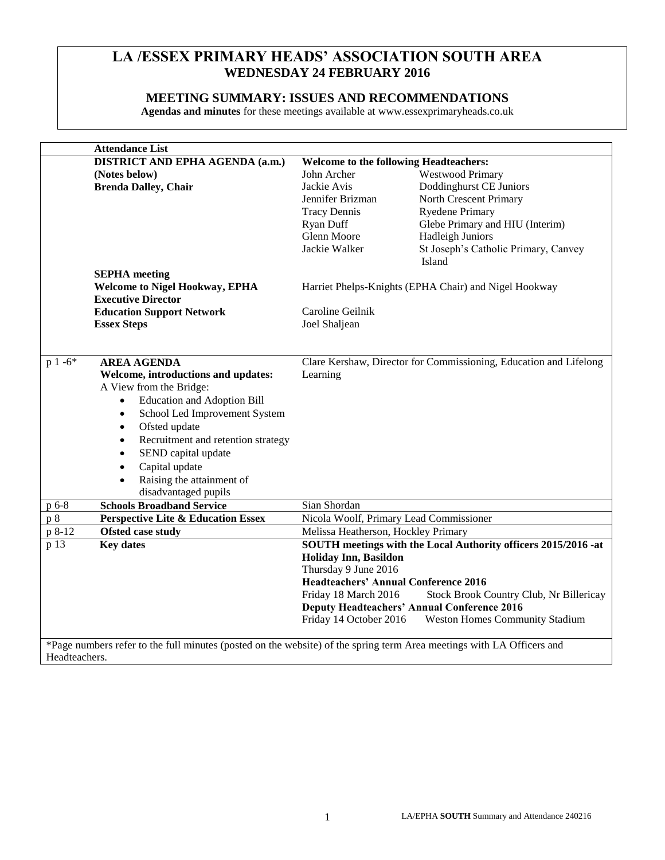# **LA /ESSEX PRIMARY HEADS' ASSOCIATION SOUTH AREA WEDNESDAY 24 FEBRUARY 2016**

# **MEETING SUMMARY: ISSUES AND RECOMMENDATIONS**

**Agendas and minutes** for these meetings available at www.essexprimaryheads.co.uk

|                                                                                                                       | <b>Attendance List</b>                          |                                                                   |                                                                |
|-----------------------------------------------------------------------------------------------------------------------|-------------------------------------------------|-------------------------------------------------------------------|----------------------------------------------------------------|
|                                                                                                                       | <b>DISTRICT AND EPHA AGENDA (a.m.)</b>          | Welcome to the following Headteachers:                            |                                                                |
|                                                                                                                       | (Notes below)                                   | John Archer                                                       | Westwood Primary                                               |
|                                                                                                                       | <b>Brenda Dalley, Chair</b>                     | Jackie Avis                                                       | Doddinghurst CE Juniors                                        |
|                                                                                                                       |                                                 | Jennifer Brizman                                                  | North Crescent Primary                                         |
|                                                                                                                       |                                                 | <b>Tracy Dennis</b>                                               | <b>Ryedene Primary</b>                                         |
|                                                                                                                       |                                                 | Ryan Duff                                                         | Glebe Primary and HIU (Interim)                                |
|                                                                                                                       |                                                 | Glenn Moore                                                       | <b>Hadleigh Juniors</b>                                        |
|                                                                                                                       |                                                 | Jackie Walker                                                     | St Joseph's Catholic Primary, Canvey                           |
|                                                                                                                       |                                                 |                                                                   | Island                                                         |
|                                                                                                                       | <b>SEPHA</b> meeting                            |                                                                   |                                                                |
|                                                                                                                       | <b>Welcome to Nigel Hookway, EPHA</b>           | Harriet Phelps-Knights (EPHA Chair) and Nigel Hookway             |                                                                |
|                                                                                                                       | <b>Executive Director</b>                       |                                                                   |                                                                |
|                                                                                                                       | <b>Education Support Network</b>                | Caroline Geilnik                                                  |                                                                |
|                                                                                                                       | <b>Essex Steps</b>                              | Joel Shaljean                                                     |                                                                |
|                                                                                                                       |                                                 |                                                                   |                                                                |
|                                                                                                                       |                                                 |                                                                   |                                                                |
| $p 1 -6*$                                                                                                             | <b>AREA AGENDA</b>                              | Clare Kershaw, Director for Commissioning, Education and Lifelong |                                                                |
|                                                                                                                       | Welcome, introductions and updates:             | Learning                                                          |                                                                |
|                                                                                                                       | A View from the Bridge:                         |                                                                   |                                                                |
|                                                                                                                       | <b>Education and Adoption Bill</b><br>$\bullet$ |                                                                   |                                                                |
|                                                                                                                       | School Led Improvement System<br>$\bullet$      |                                                                   |                                                                |
|                                                                                                                       | Ofsted update<br>$\bullet$                      |                                                                   |                                                                |
|                                                                                                                       | Recruitment and retention strategy<br>$\bullet$ |                                                                   |                                                                |
|                                                                                                                       | SEND capital update                             |                                                                   |                                                                |
|                                                                                                                       | Capital update<br>$\bullet$                     |                                                                   |                                                                |
|                                                                                                                       | Raising the attainment of<br>$\bullet$          |                                                                   |                                                                |
|                                                                                                                       | disadvantaged pupils                            |                                                                   |                                                                |
| p 6-8                                                                                                                 | <b>Schools Broadband Service</b>                | Sian Shordan                                                      |                                                                |
| p 8                                                                                                                   | <b>Perspective Lite &amp; Education Essex</b>   | Nicola Woolf, Primary Lead Commissioner                           |                                                                |
| p 8-12                                                                                                                | Ofsted case study                               | Melissa Heatherson, Hockley Primary                               |                                                                |
| p 13                                                                                                                  | <b>Key dates</b>                                |                                                                   | SOUTH meetings with the Local Authority officers 2015/2016 -at |
|                                                                                                                       |                                                 | <b>Holiday Inn, Basildon</b>                                      |                                                                |
|                                                                                                                       |                                                 | Thursday 9 June 2016                                              |                                                                |
|                                                                                                                       |                                                 | <b>Headteachers' Annual Conference 2016</b>                       |                                                                |
|                                                                                                                       |                                                 | Friday 18 March 2016                                              | Stock Brook Country Club, Nr Billericay                        |
|                                                                                                                       |                                                 |                                                                   | <b>Deputy Headteachers' Annual Conference 2016</b>             |
|                                                                                                                       |                                                 | Friday 14 October 2016                                            | <b>Weston Homes Community Stadium</b>                          |
|                                                                                                                       |                                                 |                                                                   |                                                                |
| *Page numbers refer to the full minutes (posted on the website) of the spring term Area meetings with LA Officers and |                                                 |                                                                   |                                                                |
| Headteachers.                                                                                                         |                                                 |                                                                   |                                                                |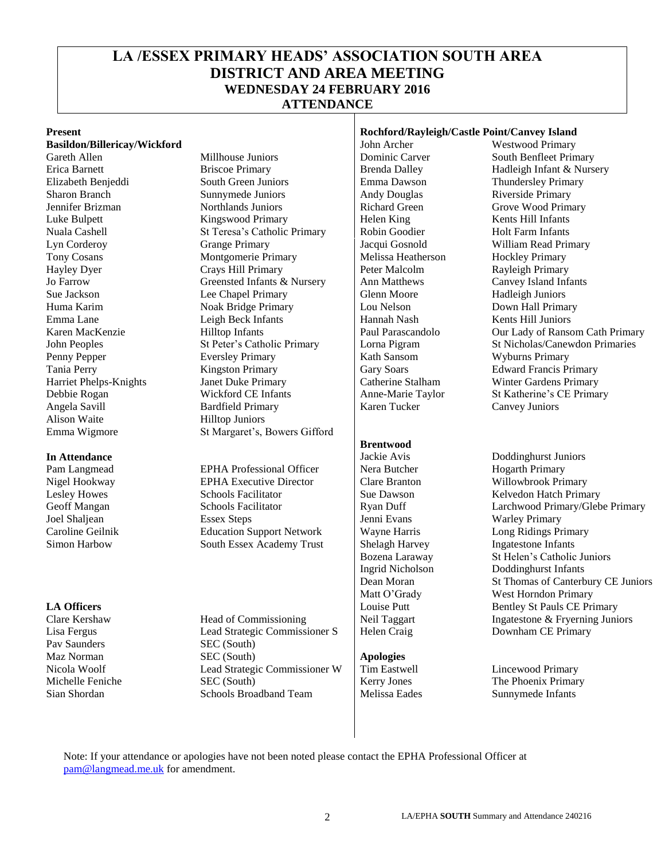# **LA /ESSEX PRIMARY HEADS' ASSOCIATION SOUTH AREA DISTRICT AND AREA MEETING WEDNESDAY 24 FEBRUARY 2016 ATTENDANCE**

**Basildon/Billericay/Wickford** John Archer Alison Waite Hilltop Juniors Emma Wigmore St Margaret's, Bowers Gifford

Pav Saunders SEC (South)

Gareth Allen Millhouse Juniors Dominic Carver South Benfleet Primary Erica Barnett **Briscoe Primary** Brenda Dalley Hadleigh Infant & Nursery Elizabeth Benjeddi South Green Juniors Emma Dawson Thundersley Primary Sharon Branch Sunnymede Juniors Andy Douglas Riverside Primary Jennifer Brizman Morthlands Juniors Richard Green Grove Wood Primary<br>
Luke Bulpett Kingswood Primary Helen King Kents Hill Infants Luke Bulpett Kingswood Primary Helen King Kents Hill Infants Nuala Cashell St Teresa's Catholic Primary Robin Goodier Holt Farm Infants Lyn Corderoy Grange Primary Jacqui Gosnold William Read Primary Tony Cosans Montgomerie Primary Melissa Heatherson Hockley Primary<br>
Hayley Dyer Crays Hill Primary Peter Malcolm Rayleigh Primary Crays Hill Primary Peter Malcolm Rayleigh Primary Jo Farrow Greensted Infants & Nursery Ann Matthews Canvey Island Infants<br>Sue Jackson Lee Chapel Primary Glenn Moore Hadleigh Juniors Sue Jackson Lee Chapel Primary Glenn Moore Huma Karim Noak Bridge Primary Lou Nelson Down Hall Primary Emma Lane Leigh Beck Infants Hannah Nash Kents Hill Juniors Penny Pepper Eversley Primary Eversley Article Math Sansom Wyburns Primary Number of Tania Perry Kath Sansom Wyburns Primary Represents Primary Represents Primary Represents Primary Represents Primary Represents Primary Re Tania Perry **Kingston Primary** Gary Soars Edward Francis Primary Harriet Phelps-Knights Janet Duke Primary Catherine Stalham Winter Gardens Primary Debbie Rogan Wickford CE Infants Anne-Marie Taylor St Katherine's CE Primary Angela Savill Bardfield Primary Karen Tucker Canvey Juniors

Pam Langmead EPHA Professional Officer Nera Butcher Hogarth Primary Nigel Hookway **EPHA Executive Director** Clare Branton Willowbrook Primary Lesley Howes Schools Facilitator Sue Dawson Kelvedon Hatch Primary<br>
Schools Facilitator Ryan Duff (Secoft Mangan Schools Facilitator Ryan Duff (Secoft Mangan) Joel Shaljean Essex Steps Jenni Evans Warley Primary Caroline Geilnik Education Support Network Wayne Harris Simon Harbow South Essex Academy Trust Shelagh Harvey Ingatestone Infants

Clare Kershaw Head of Commissioning Neil Taggart Ingatestone & Fryerning Juniors Lisa Fergus Lead Strategic Commissioner S Helen Craig Downham CE Primary Maz Norman SEC (South) **Apologies** Nicola Woolf **Lead Strategic Commissioner W** Tim Eastwell **Lincewood Primary**<br>Michelle Feniche SEC (South) **Exercise** SEC (South) **Exercise** SEC (South) **Exercise** SEC (South) SEC (South) Kerry Jones The Phoenix Primary Sian Shordan Schools Broadband Team Melissa Eades Sunnymede Infants

# **Present Rochford/Rayleigh/Castle Point/Canvey Island**<br> **Rochford/Rayleigh/Castle Point/Canvey Island**<br> **Rochford/Rayleigh/Castle Point/Canvey Island**<br> **Rochford/Rayleigh/Castle Point/Canvey Island**

#### **Brentwood**

Karen MacKenzie Hilltop Infants Paul Parascandolo Our Lady of Ransom Cath Primary John Peoples St Peter's Catholic Primary Lorna Pigram St Nicholas/Canewdon Primaries

**In Attendance Jackie Avis** Doddinghurst Juniors **Jackie Avis** Doddinghurst Juniors Geoff Mangan Schools Facilitator Ryan Duff Larchwood Primary/Glebe Primary Bozena Laraway St Helen's Catholic Juniors Ingrid Nicholson Doddinghurst Infants Dean Moran St Thomas of Canterbury CE Juniors Matt O'Grady West Horndon Primary **LA Officers Louise Putt** Bentley St Pauls CE Primary

Note: If your attendance or apologies have not been noted please contact the EPHA Professional Officer at [pam@langmead.me.uk](mailto:pam@langmead.me.uk) for amendment.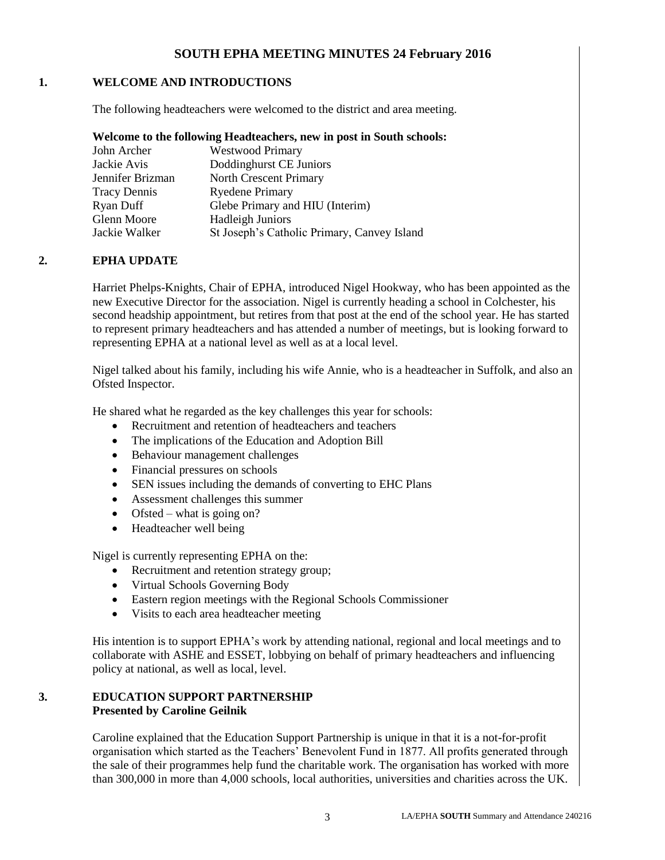# **SOUTH EPHA MEETING MINUTES 24 February 2016**

## **1. WELCOME AND INTRODUCTIONS**

The following headteachers were welcomed to the district and area meeting.

## **Welcome to the following Headteachers, new in post in South schools:**

| John Archer         | <b>Westwood Primary</b>                     |
|---------------------|---------------------------------------------|
| Jackie Avis         | Doddinghurst CE Juniors                     |
| Jennifer Brizman    | North Crescent Primary                      |
| <b>Tracy Dennis</b> | <b>Ryedene Primary</b>                      |
| Ryan Duff           | Glebe Primary and HIU (Interim)             |
| Glenn Moore         | Hadleigh Juniors                            |
| Jackie Walker       | St Joseph's Catholic Primary, Canvey Island |
|                     |                                             |

# **2. EPHA UPDATE**

Harriet Phelps-Knights, Chair of EPHA, introduced Nigel Hookway, who has been appointed as the new Executive Director for the association. Nigel is currently heading a school in Colchester, his second headship appointment, but retires from that post at the end of the school year. He has started to represent primary headteachers and has attended a number of meetings, but is looking forward to representing EPHA at a national level as well as at a local level.

Nigel talked about his family, including his wife Annie, who is a headteacher in Suffolk, and also an Ofsted Inspector.

He shared what he regarded as the key challenges this year for schools:

- Recruitment and retention of headteachers and teachers
- The implications of the Education and Adoption Bill
- Behaviour management challenges
- Financial pressures on schools
- SEN issues including the demands of converting to EHC Plans
- Assessment challenges this summer
- $\bullet$  Ofsted what is going on?
- Headteacher well being

Nigel is currently representing EPHA on the:

- Recruitment and retention strategy group;
- Virtual Schools Governing Body
- Eastern region meetings with the Regional Schools Commissioner
- Visits to each area headteacher meeting

His intention is to support EPHA's work by attending national, regional and local meetings and to collaborate with ASHE and ESSET, lobbying on behalf of primary headteachers and influencing policy at national, as well as local, level.

# **3. EDUCATION SUPPORT PARTNERSHIP Presented by Caroline Geilnik**

Caroline explained that the Education Support Partnership is unique in that it is a not-for-profit organisation which started as the Teachers' Benevolent Fund in 1877. All profits generated through the sale of their programmes help fund the charitable work. The organisation has worked with more than 300,000 in more than 4,000 schools, local authorities, universities and charities across the UK.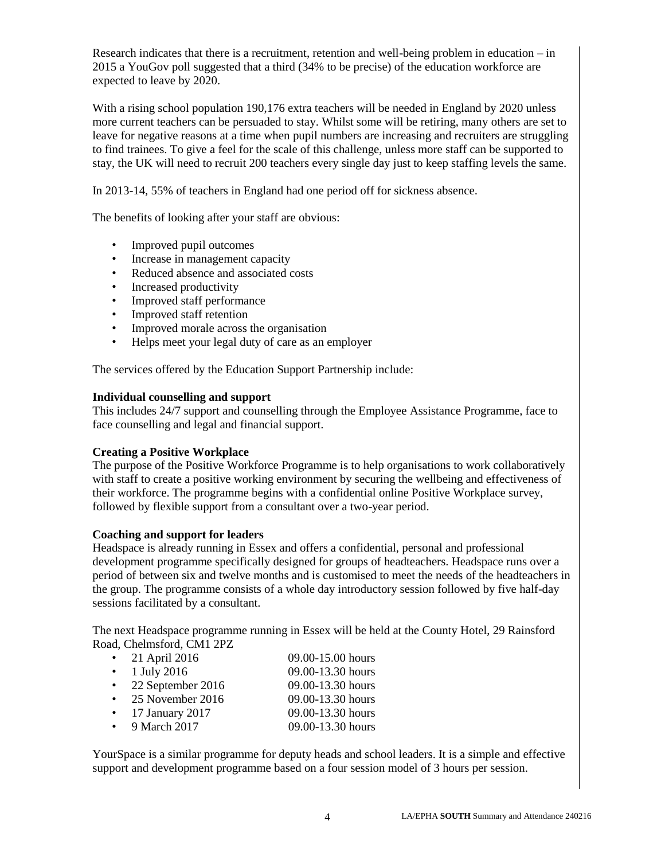Research indicates that there is a recruitment, retention and well-being problem in education – in 2015 a YouGov poll suggested that a third (34% to be precise) of the education workforce are expected to leave by 2020.

With a rising school population 190,176 extra teachers will be needed in England by 2020 unless more current teachers can be persuaded to stay. Whilst some will be retiring, many others are set to leave for negative reasons at a time when pupil numbers are increasing and recruiters are struggling to find trainees. To give a feel for the scale of this challenge, unless more staff can be supported to stay, the UK will need to recruit 200 teachers every single day just to keep staffing levels the same.

In 2013-14, 55% of teachers in England had one period off for sickness absence.

The benefits of looking after your staff are obvious:

- Improved pupil outcomes
- Increase in management capacity
- Reduced absence and associated costs
- Increased productivity
- Improved staff performance
- Improved staff retention
- Improved morale across the organisation
- Helps meet your legal duty of care as an employer

The services offered by the Education Support Partnership include:

#### **Individual counselling and support**

This includes 24/7 support and counselling through the Employee Assistance Programme, face to face counselling and legal and financial support.

#### **Creating a Positive Workplace**

The purpose of the Positive Workforce Programme is to help organisations to work collaboratively with staff to create a positive working environment by securing the wellbeing and effectiveness of their workforce. The programme begins with a confidential online Positive Workplace survey, followed by flexible support from a consultant over a two-year period.

#### **Coaching and support for leaders**

Headspace is already running in Essex and offers a confidential, personal and professional development programme specifically designed for groups of headteachers. Headspace runs over a period of between six and twelve months and is customised to meet the needs of the headteachers in the group. The programme consists of a whole day introductory session followed by five half-day sessions facilitated by a consultant.

The next Headspace programme running in Essex will be held at the County Hotel, 29 Rainsford Road, Chelmsford, CM1 2PZ

| $\bullet$ |                   |                   |
|-----------|-------------------|-------------------|
|           | 21 April 2016     | 09.00-15.00 hours |
| $\bullet$ | 1 July 2016       | 09.00-13.30 hours |
| $\bullet$ | 22 September 2016 | 09.00-13.30 hours |
|           | 25 November 2016  | 09.00-13.30 hours |
|           | 17 January 2017   | 09.00-13.30 hours |
|           | 9 March 2017      | 09.00-13.30 hours |

YourSpace is a similar programme for deputy heads and school leaders. It is a simple and effective support and development programme based on a four session model of 3 hours per session.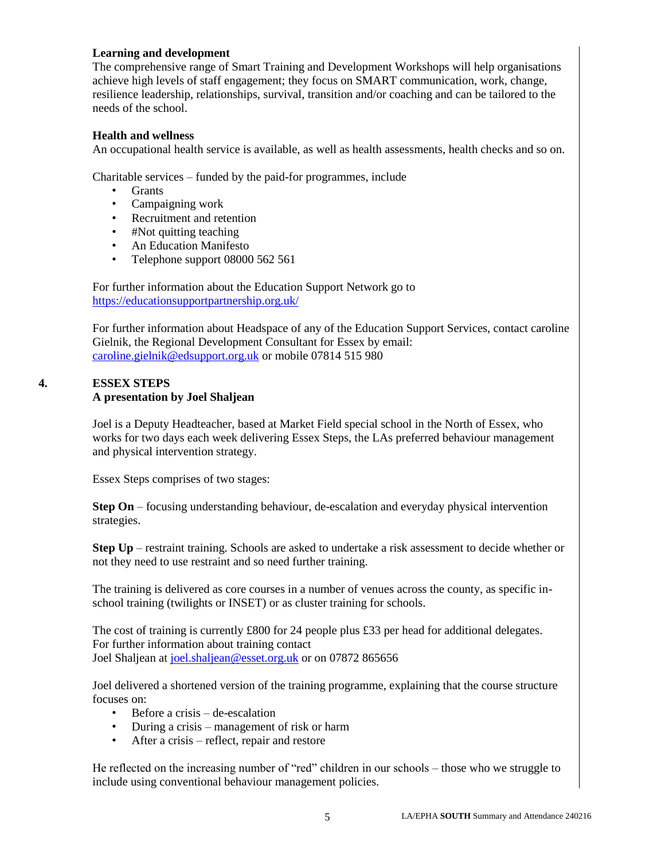## **Learning and development**

The comprehensive range of Smart Training and Development Workshops will help organisations achieve high levels of staff engagement; they focus on SMART communication, work, change, resilience leadership, relationships, survival, transition and/or coaching and can be tailored to the needs of the school.

### **Health and wellness**

An occupational health service is available, as well as health assessments, health checks and so on.

Charitable services – funded by the paid-for programmes, include

- Grants
- Campaigning work
- Recruitment and retention
- #Not quitting teaching
- An Education Manifesto
- Telephone support 08000 562 561

For further information about the Education Support Network go to <https://educationsupportpartnership.org.uk/>

For further information about Headspace of any of the Education Support Services, contact caroline Gielnik, the Regional Development Consultant for Essex by email: [caroline.gielnik@edsupport.org.uk](mailto:caroline.gielnik@edsupport.org.uk) or mobile 07814 515 980

## **4. ESSEX STEPS A presentation by Joel Shaljean**

Joel is a Deputy Headteacher, based at Market Field special school in the North of Essex, who works for two days each week delivering Essex Steps, the LAs preferred behaviour management and physical intervention strategy.

Essex Steps comprises of two stages:

**Step On** – focusing understanding behaviour, de-escalation and everyday physical intervention strategies.

**Step Up** – restraint training. Schools are asked to undertake a risk assessment to decide whether or not they need to use restraint and so need further training.

The training is delivered as core courses in a number of venues across the county, as specific inschool training (twilights or INSET) or as cluster training for schools.

The cost of training is currently £800 for 24 people plus £33 per head for additional delegates. For further information about training contact Joel Shaljean at [joel.shaljean@esset.org.uk](mailto:joel.shaljean@esset.org.uk) or on 07872 865656

Joel delivered a shortened version of the training programme, explaining that the course structure focuses on:

- Before a crisis de-escalation
- During a crisis management of risk or harm
- After a crisis reflect, repair and restore

He reflected on the increasing number of "red" children in our schools – those who we struggle to include using conventional behaviour management policies.